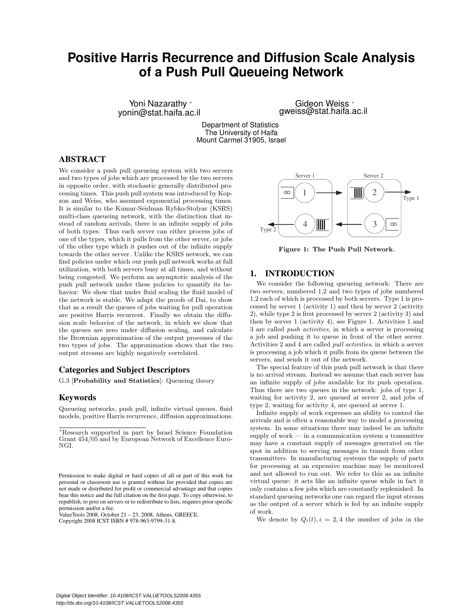# **Positive Harris Recurrence and Diffusion Scale Analysis of a Push Pull Queueing Network**

Yoni Nazarathy ∗ yonin@stat.haifa.ac.il

Gideon Weiss <sup>∗</sup> gweiss@stat.haifa.ac.il

Department of Statistics The University of Haifa Mount Carmel 31905, Israel

# ABSTRACT

We consider a push pull queueing system with two servers and two types of jobs which are processed by the two servers in opposite order, with stochastic generally distributed processing times. This push pull system was introduced by Kopzon and Weiss, who assumed exponential processing times. It is similar to the Kumar-Seidman Rybko-Stolyar (KSRS) multi-class queueing network, with the distinction that instead of random arrivals, there is an infinite supply of jobs of both types. Thus each server can either process jobs of one of the types, which it pulls from the other server, or jobs of the other type which it pushes out of the infinite supply towards the other server. Unlike the KSRS network, we can find policies under which our push pull network works at full utilization, with both servers busy at all times, and without being congested. We perform an asymptotic analysis of the push pull network under these policies to quantify its behavior: We show that under fluid scaling the fluid model of the network is stable. We adapt the proofs of Dai, to show that as a result the queues of jobs waiting for pull operation are positive Harris recurrent. Finally we obtain the diffusion scale behavior of the network, in which we show that the queues are zero under diffusion scaling, and calculate the Brownian approximation of the output processes of the two types of jobs. The approximation shows that the two output streams are highly negatively correlated.

# Categories and Subject Descriptors

G.3 [Probability and Statistics]: Queueing theory

#### Keywords

Queueing networks, push pull, infinite virtual queues, fluid models, positive Harris recurrence, diffusion approximations.

ValueTools 2008, October 21 – 23, 2008, Athens, GREECE. Copyright 2008 ICST ISBN # 978-963-9799-31-8.



Figure 1: The Push Pull Network.

# 1. INTRODUCTION

We consider the following queueing network: There are two servers, numbered 1,2 and two types of jobs numbered 1,2 each of which is processed by both servers. Type 1 is processed by server 1 (activity 1) and then by server 2 (activity 2), while type 2 is first processed by server 2 (activity 3) and then by server 1 (activity 4), see Figure 1. Activities 1 and 3 are called push activities, in which a server is processing a job and pushing it to queue in front of the other server. Activities 2 and 4 are called pull activities, in which a server is processing a job which it pulls from its queue between the servers, and sends it out of the network.

The special feature of this push pull network is that there is no arrival stream. Instead we assume that each server has an infinite supply of jobs available for its push operation. Thus there are two queues in the network: jobs of type 1, waiting for activity 2, are queued at server 2, and jobs of type 2, waiting for activity 4, are queued at server 1.

Infinite supply of work expresses an ability to control the arrivals and is often a reasonable way to model a processing system. In some situations there may indeed be an infinite supply of work — in a communication system a transmitter may have a constant supply of messages generated on the spot in addition to serving messages in transit from other transmitters. In manufacturing systems the supply of parts for processing at an expensive machine may be monitored and not allowed to run out. We refer to this as an infinite virtual queue: it acts like an infinite queue while in fact it only contains a few jobs which are constantly replenished. In standard queueing networks one can regard the input stream as the output of a server which is fed by an infinite supply of work.

We denote by  $Q_i(t)$ ,  $i = 2, 4$  the number of jobs in the

<sup>∗</sup>Research supported in part by Israel Science Foundation Grant 454/05 and by European Network of Excellence Euro-NGI.

Permission to make digital or hard copies of all or part of this work for personal or classroom use is granted without fee provided that copies are not made or distributed for profit or commercial advantage and that copies bear this notice and the full citation on the first page. To copy otherwise, to republish, to post on servers or to redistribute to lists, requires prior specific permission and/or a fee.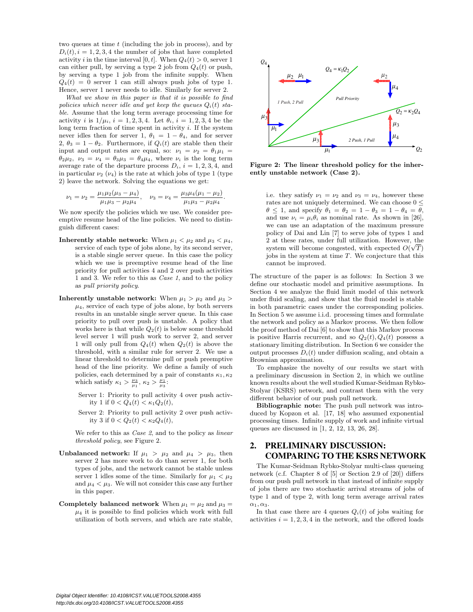two queues at time  $t$  (including the job in process), and by  $D_i(t)$ ,  $i = 1, 2, 3, 4$  the number of jobs that have completed activity i in the time interval [0, t]. When  $Q_4(t) > 0$ , server 1 can either pull, by serving a type 2 job from  $Q_4(t)$  or push, by serving a type 1 job from the infinite supply. When  $Q_4(t) = 0$  server 1 can still always push jobs of type 1. Hence, server 1 never needs to idle. Similarly for server 2.

What we show in this paper is that it is possible to find policies which never idle and yet keep the queues  $Q_i(t)$  stable. Assume that the long term average processing time for activity *i* is  $1/\mu_i$ ,  $i = 1, 2, 3, 4$ . Let  $\theta_i$ ,  $i = 1, 2, 3, 4$  be the long term fraction of time spent in activity  $i$ . If the system never idles then for server 1,  $\theta_1 = 1 - \theta_4$ , and for server 2,  $\theta_3 = 1 - \theta_2$ . Furthermore, if  $Q_i(t)$  are stable then their input and output rates are equal, so:  $\nu_1 = \nu_2 = \theta_1 \mu_1$  $\theta_2\mu_2$ ,  $\nu_3 = \nu_4 = \theta_3\mu_3 = \theta_4\mu_4$ , where  $\nu_i$  is the long term average rate of the departure process  $D_i$ ,  $i = 1, 2, 3, 4$ , and in particular  $\nu_2$  ( $\nu_4$ ) is the rate at which jobs of type 1 (type 2) leave the network. Solving the equations we get:

$$
\nu_1 = \nu_2 = \frac{\mu_1 \mu_2 (\mu_3 - \mu_4)}{\mu_1 \mu_3 - \mu_2 \mu_4}, \quad \nu_3 = \nu_4 = \frac{\mu_3 \mu_4 (\mu_1 - \mu_2)}{\mu_1 \mu_3 - \mu_2 \mu_4}.
$$

We now specify the policies which we use. We consider preemptive resume head of the line policies. We need to distinguish different cases:

- Inherently stable network: When  $\mu_1 < \mu_2$  and  $\mu_3 < \mu_4$ , service of each type of jobs alone, by its second server, is a stable single server queue. In this case the policy which we use is preemptive resume head of the line priority for pull activities 4 and 2 over push activities 1 and 3. We refer to this as Case 1, and to the policy as pull priority policy.
- Inherently unstable network: When  $\mu_1 > \mu_2$  and  $\mu_3 >$  $\mu_4$ , service of each type of jobs alone, by both servers results in an unstable single server queue. In this case priority to pull over push is unstable. A policy that works here is that while  $Q_2(t)$  is below some threshold level server 1 will push work to server 2, and server 1 will only pull from  $Q_4(t)$  when  $Q_2(t)$  is above the threshold, with a similar rule for server 2. We use a linear threshold to determine pull or push preemptive head of the line priority. We define a family of such policies, each determined by a pair of constants  $\kappa_1, \kappa_2$ which satisfy  $\kappa_1 > \frac{\mu_3}{\mu_1}, \kappa_2 > \frac{\mu_1}{\mu_3}$ :
	- Server 1: Priority to pull activity 4 over push activity 1 if  $0 < Q_4(t) < \kappa_1 Q_2(t)$ ,
	- Server 2: Priority to pull activity 2 over push activity 3 if  $0 < Q_2(t) < \kappa_2 Q_4(t)$ ,

We refer to this as  $Case 2$ , and to the policy as *linear* threshold policy, see Figure 2.

- **Unbalanced network:** If  $\mu_1 > \mu_2$  and  $\mu_4 > \mu_3$ , then server 2 has more work to do than server 1, for both types of jobs, and the network cannot be stable unless server 1 idles some of the time. Similarly for  $\mu_1 < \mu_2$ and  $\mu_4 < \mu_3$ . We will not consider this case any further in this paper.
- Completely balanced network When  $\mu_1 = \mu_2$  and  $\mu_3 =$  $\mu_4$  it is possible to find policies which work with full utilization of both servers, and which are rate stable,



Figure 2: The linear threshold policy for the inherently unstable network (Case 2).

i.e. they satisfy  $\nu_1 = \nu_2$  and  $\nu_3 = \nu_4$ , however these rates are not uniquely determined. We can choose  $0\leq$  $\theta \leq 1$ , and specify  $\theta_1 = \theta_2 = 1 - \theta_3 = 1 - \theta_4 = \theta$ , and use  $\nu_i = \mu_i \theta_i$  as nominal rate. As shown in [26], we can use an adaptation of the maximum pressure policy of Dai and Lin [7] to serve jobs of types 1 and 2 at these rates, under full utilization. However, the system will become congested, with expected  $O(\sqrt{T})$ jobs in the system at time  $T$ . We conjecture that this cannot be improved.

The structure of the paper is as follows: In Section 3 we define our stochastic model and primitive assumptions. In Section 4 we analyze the fluid limit model of this network under fluid scaling, and show that the fluid model is stable in both parametric cases under the corresponding policies. In Section 5 we assume i.i.d. processing times and formulate the network and policy as a Markov process. We then follow the proof method of Dai [6] to show that this Markov process is positive Harris recurrent, and so  $Q_2(t), Q_4(t)$  possess a stationary limiting distribution. In Section 6 we consider the output processes  $D_i(t)$  under diffusion scaling, and obtain a Brownian approximation.

To emphasize the novelty of our results we start with a preliminary discussion in Section 2, in which we outline known results about the well studied Kumar-Seidman Rybko-Stolyar (KSRS) network, and contrast them with the very different behavior of our push pull network.

Bibliographic note: The push pull network was introduced by Kopzon et al. [17, 18] who assumed exponential processing times. Infinite supply of work and infinite virtual queues are discussed in [1, 2, 12, 13, 26, 28].

# 2. PRELIMINARY DISCUSSION: COMPARING TO THE KSRS NETWORK

The Kumar-Seidman Rybko-Stolyar multi-class queueing network (c.f. Chapter 8 of [5] or Section 2.9 of [20]) differs from our push pull network in that instead of infinite supply of jobs there are two stochastic arrival streams of jobs of type 1 and of type 2, with long term average arrival rates  $\alpha_1, \alpha_3.$ 

In that case there are 4 queues  $Q_i(t)$  of jobs waiting for activities  $i = 1, 2, 3, 4$  in the network, and the offered loads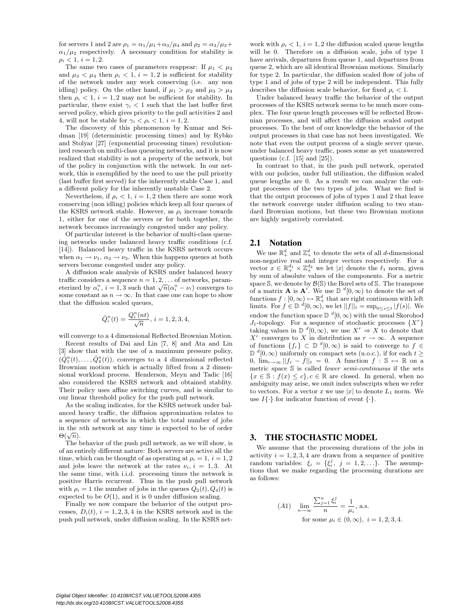for servers 1 and 2 are  $\rho_1 = \alpha_1/\mu_1 + \alpha_3/\mu_4$  and  $\rho_2 = \alpha_3/\mu_3 +$  $\alpha_1/\mu_2$  respectively. A necessary condition for stability is  $\rho_i < 1, i = 1, 2.$ 

The same two cases of parameters reappear: If  $\mu_1 < \mu_2$ and  $\mu_3 < \mu_4$  then  $\rho_i < 1$ ,  $i = 1, 2$  is sufficient for stability of the network under any work conserving (i.e. any non idling) policy. On the other hand, if  $\mu_1 > \mu_2$  and  $\mu_3 > \mu_4$ then  $\rho_i < 1$ ,  $i = 1, 2$  may not be sufficient for stability. In particular, there exist  $\gamma_i$  < 1 such that the last buffer first served policy, which gives priority to the pull activities 2 and 4, will not be stable for  $\gamma_i < \rho_i < 1$ ,  $i = 1, 2$ .

The discovery of this phenomenon by Kumar and Seidman [19] (deterministic processing times) and by Rybko and Stolyar [27] (exponential processing times) revolutionized research on multi-class queueing networks, and it is now realized that stability is not a property of the network, but of the policy in conjunction with the network. In our network, this is exemplified by the need to use the pull priority (last buffer first served) for the inherently stable Case 1, and a different policy for the inherently unstable Case 2.

Nevertheless, if  $\rho_i < 1$ ,  $i = 1, 2$  then there are some work conserving (non idling) policies which keep all four queues of the KSRS network stable. However, as  $\rho_i$  increase towards 1, either for one of the servers or for both together, the network becomes increasingly congested under any policy.

Of particular interest is the behavior of multi-class queueing networks under balanced heavy traffic conditions (c.f. [14]). Balanced heavy traffic in the KSRS network occurs when  $\alpha_1 \rightarrow \nu_1$ ,  $\alpha_3 \rightarrow \nu_3$ . When this happens queues at both servers become congested under any policy.

A diffusion scale analysis of KSRS under balanced heavy traffic considers a sequence  $n = 1, 2, \ldots$  of networks, parameterized by  $\alpha_i^n$ ,  $i = 1, 3$  such that  $\sqrt{n}(\alpha_i^n - \nu_i)$  converges to some constant as  $n \to \infty$ . In that case one can hope to show that the diffusion scaled queues,

$$
\hat{Q}_i^n(t) = \frac{Q_i^n(nt)}{\sqrt{n}}, \, i = 1, 2, 3, 4,
$$

will converge to a 4 dimensional Reflected Brownian Motion.

Recent results of Dai and Lin [7, 8] and Ata and Lin [3] show that with the use of a maximum pressure policy,  $(\hat{Q}_1^n(t), \ldots, \hat{Q}_4^n(t))$ , converges to a 4 dimensional reflected Brownian motion which is actually lifted from a 2 dimensional workload process. Henderson, Meyn and Tadic [16] also considered the KSRS network and obtained stablity. Their policy uses affine switching curves, and is similar to our linear threshold policy for the push pull network.

As the scaling indicates, for the KSRS network under balanced heavy traffic, the diffusion approximation relates to a sequence of networks in which the total number of jobs in the nth network at any time is expected to be of order  $\Theta(\sqrt{n}).$ 

The behavior of the push pull network, as we will show, is of an entirely different nature: Both servers are active all the time, which can be thought of as operating at  $\rho_i = 1, i = 1, 2$ and jobs leave the network at the rates  $\nu_i$ ,  $i = 1, 3$ . At the same time, with i.i.d. processing times the network is positive Harris recurrent. Thus in the push pull network with  $\rho_i = 1$  the number of jobs in the queues  $Q_2(t), Q_4(t)$  is expected to be  $O(1)$ , and it is 0 under diffusion scaling.

Finally we now compare the behavior of the output processes,  $D_i(t)$ ,  $i = 1, 2, 3, 4$  in the KSRS network and in the push pull network, under diffusion scaling. In the KSRS net-

work with  $\rho_i < 1$ ,  $i = 1, 2$  the diffusion scaled queue lengths will be 0. Therefore on a diffusion scale, jobs of type 1 have arrivals, departures from queue 1, and departures from queue 2, which are all identical Brownian motions. Similarly for type 2. In particular, the diffusion scaled flow of jobs of type 1 and of jobs of type 2 will be independent. This fully describes the diffusion scale behavior, for fixed  $\rho_i < 1$ .

Under balanced heavy traffic the behavior of the output processes of the KSRS network seems to be much more complex. The four queue length processes will be reflected Brownian processes, and will affect the diffusion scaled output processes. To the best of our knowledge the behavior of the output processes in that case has not been investigated. We note that even the output process of a single server queue, under balanced heavy traffic, poses some as yet unanswered questions (c.f.  $[15]$  and  $[25]$ ).

In contrast to that, in the push pull network, operated with our policies, under full utilization, the diffusion scaled queue lengths are 0. As a result we can analyze the output processes of the two types of jobs. What we find is that the output processes of jobs of types 1 and 2 that leave the network converge under diffusion scaling to two standard Brownian motions, but these two Brownian motions are highly negatively correlated.

#### 2.1 Notation

We use  $\mathbb{R}^d_+$  and  $\mathbb{Z}^d_+$  to denote the sets of all *d*-dimensional non-negative real and integer vectors respectively. For a vector  $x \in \mathbb{R}^{d_1} \times \mathbb{Z}^{d_2}$  we let  $|x|$  denote the  $\ell_1$  norm, given by sum of absolute values of the components. For a metric space S, we denote by  $\mathcal{B}(\mathbb{S})$  the Borel sets of S. The transpose of a matrix **A** is **A**<sup>'</sup>. We use  $\mathbb{D}^{d}[0,\infty)$  to denote the set of functions  $f : [0, \infty) \mapsto \mathbb{R}^d_+$  that are right continuous with left<br>limits. For  $f \in \mathbb{D}^d[0, \infty)$ , we let  $||f||_t = \sup_{0 \le s \le t} |f(s)|$ . We endow the function space  $\mathbb{D}^{d}[0,\infty)$  with the usual Skorohod J<sub>1</sub>-topology. For a sequence of stochastic processes  $\{X^r\}$  and  $\emptyset$  and  $\emptyset$  (0,  $\infty$ ), we use  $X^r \Rightarrow X$  to denote that  $X^r$  converges to X in distribution as  $r \to \infty$ . A sequence of functions  $\{f_r\} \subset \mathbb{D}$   $\stackrel{d}{=} [0, \infty)$  is said to converge to  $f \in \mathbb{D}$ *D*<sup>d</sup>[0, ∞) uniformly on compact sets (u.o.c.), if for each  $t \ge$ 0,  $\lim_{r\to\infty}||f_r-f||_t=0$ . A function  $f: \mathbb{S} \mapsto \mathbb{R}$  on a metric space S is called lower semi-continuous if the sets  ${x \in \mathbb{S} : f(x) \leq c}, c \in \mathbb{R}$  are closed. In general, when no ambiguity may arise, we omit index subscripts when we refer to vectors. For a vector x we use |x| to denote  $L_1$  norm. We use  $I\{\cdot\}$  for indicator function of event  $\{\cdot\}.$ 

### 3. THE STOCHASTIC MODEL

We assume that the processing durations of the jobs in activity  $i = 1, 2, 3, 4$  are drawn from a sequence of positive random variables:  $\xi_i = {\xi_i^j, j = 1, 2, \ldots}.$  The assumptions that we make regarding the processing durations are as follows:

(A1) 
$$
\lim_{n \to \infty} \frac{\sum_{j=1}^{n} \xi_i^j}{n} = \frac{1}{\mu_i}, \text{ a.s.}
$$
  
for some  $\mu_i \in (0, \infty), i = 1, 2, 3, 4$ .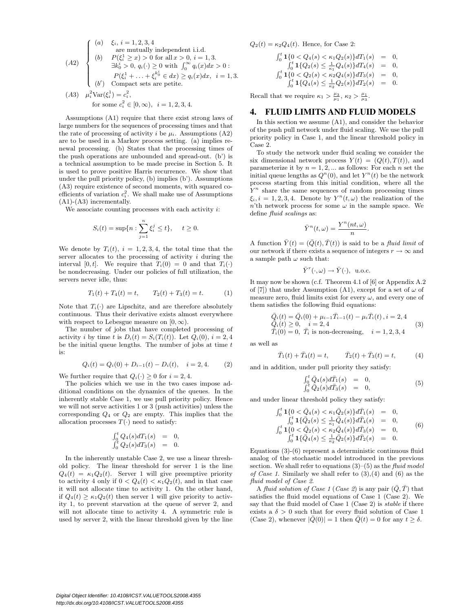(A2)

\n
$$
\begin{cases}\n(a) \quad \xi_i, i = 1, 2, 3, 4 \\
\text{are mutually independent i.i.d.} \\
(b) \quad P(\xi_i^1 \ge x) > 0 \text{ for all } x > 0, i = 1, 3. \\
\exists k_0^i > 0, q_i(\cdot) \ge 0 \text{ with } \int_0^\infty q_i(x) dx > 0: \\
P(\xi_i^1 + \ldots + \xi_i^{k_0^i} \in dx) \ge q_i(x) dx, \quad i = 1, 3. \\
(b') \quad \text{Compact sets are petite.} \\
(A3) \quad \mu_i^2 \text{Var}(\xi_i^1) = c_i^2,\n\end{cases}
$$

for some 
$$
c_i^2 \in [0, \infty)
$$
,  $i = 1, 2, 3, 4$ .

Assumptions (A1) require that there exist strong laws of large numbers for the sequences of processing times and that the rate of processing of activity i be  $\mu_i$ . Assumptions (A2) are to be used in a Markov process setting. (a) implies renewal processing. (b) States that the processing times of the push operations are unbounded and spread-out. (b') is a technical assumption to be made precise in Section 5. It is used to prove positive Harris recurrence. We show that under the pull priority policy, (b) implies (b'). Assumptions (A3) require existence of second moments, with squared coefficients of variation  $c_i^2$ . We shall make use of Assumptions (A1)-(A3) incrementally.

We associate counting processes with each activity  $i$ :

$$
S_i(t) = \sup\{n : \sum_{j=1}^n \xi_i^j \le t\}, \quad t \ge 0.
$$

We denote by  $T_i(t)$ ,  $i = 1, 2, 3, 4$ , the total time that the server allocates to the processing of activity i during the interval [0,t]. We require that  $T_i(0) = 0$  and that  $T_i(\cdot)$ be nondecreasing. Under our policies of full utilization, the servers never idle, thus:

$$
T_1(t) + T_4(t) = t, \qquad T_2(t) + T_3(t) = t. \tag{1}
$$

Note that  $T_i(\cdot)$  are Lipschitz, and are therefore absolutely continuous. Thus their derivative exists almost everywhere with respect to Lebesgue measure on  $[0, \infty)$ .

The number of jobs that have completed processing of activity i by time t is  $D_i(t) = S_i(T_i(t))$ . Let  $Q_i(0), i = 2, 4$ be the initial queue lengths. The number of jobs at time  $t$ is:

$$
Q_i(t) = Q_i(0) + D_{i-1}(t) - D_i(t), \quad i = 2, 4.
$$
 (2)

We further require that  $Q_i(\cdot) \geq 0$  for  $i = 2, 4$ .

The policies which we use in the two cases impose additional conditions on the dynamics of the queues. In the inherently stable Case 1, we use pull priority policy. Hence we will not serve activities 1 or 3 (push activities) unless the corresponding  $Q_4$  or  $Q_2$  are empty. This implies that the allocation processes  $T(\cdot)$  need to satisfy:

$$
\begin{array}{rcl}\n\int_0^t Q_4(s) dT_1(s) & = & 0, \\
\int_0^t Q_2(s) dT_3(s) & = & 0.\n\end{array}
$$

In the inherently unstable Case 2, we use a linear threshold policy. The linear threshold for server 1 is the line  $Q_4(t) = \kappa_1 Q_2(t)$ . Server 1 will give preemptive priority to activity 4 only if  $0 < Q_4(t) < \kappa_1 Q_2(t)$ , and in that case it will not allocate time to activity 1. On the other hand, if  $Q_4(t) \geq \kappa_1 Q_2(t)$  then server 1 will give priority to activity 1, to prevent starvation at the queue of server 2, and will not allocate time to activity 4. A symmetric rule is used by server 2, with the linear threshold given by the line

 $Q_2(t) = \kappa_2 Q_4(t)$ . Hence, for Case 2:

$$
\begin{array}{rcl}\n\int_0^t \mathbf{1}\{0 < Q_4(s) < \kappa_1 Q_2(s)\} dT_1(s) & = & 0, \\
\int_0^t \mathbf{1}\{Q_2(s) \le \frac{1}{\kappa_1} Q_4(s)\} dT_4(s) & = & 0, \\
\int_0^t \mathbf{1}\{0 < Q_2(s) < \kappa_2 Q_4(s)\} dT_3(s) & = & 0, \\
\int_0^t \mathbf{1}\{Q_4(s) \le \frac{1}{\kappa_2} Q_2(s)\} dT_2(s) & = & 0.\n\end{array}
$$

Recall that we require  $\kappa_1 > \frac{\mu_3}{\mu_1}, \kappa_2 > \frac{\mu_1}{\mu_3}.$ 

#### 4. FLUID LIMITS AND FLUID MODELS

In this section we assume (A1), and consider the behavior of the push pull network under fluid scaling. We use the pull priority policy in Case 1, and the linear threshold policy in Case 2.

To study the network under fluid scaling we consider the six dimensional network process  $Y(t) = (Q(t), T(t))$ , and parameterize it by  $n = 1, 2, \dots$  as follows: For each n set the initial queue lengths as  $Q^n(0)$ , and let  $Y^n(t)$  be the network process starting from this initial condition, where all the  $Y<sup>n</sup>$  share the same sequences of random processing times  $\xi_i, i = 1, 2, 3, 4$ . Denote by  $Y^n(t, \omega)$  the realization of the n'th network process for some  $\omega$  in the sample space. We define fluid scalings as:

$$
\bar{Y}^n(t,\omega)=\frac{Y^n(nt,\omega)}{n}.
$$

A function  $\bar{Y}(t) = (\bar{Q}(t), \bar{T}(t))$  is said to be a *fluid limit* of our network if there exists a sequence of integers  $r \to \infty$  and a sample path  $\omega$  such that:

$$
\bar{Y}^r(\cdot,\omega) \to \bar{Y}(\cdot), \ \text{u.o.c.}
$$

It may now be shown (c.f. Theorem 4.1 of [6] or Appendix A.2 of [7]) that under Assumption (A1), except for a set of  $\omega$  of measure zero, fluid limits exist for every  $\omega$ , and every one of them satisfies the following fluid equations:

$$
\begin{aligned}\n\bar{Q}_i(t) &= \bar{Q}_i(0) + \mu_{i-1}\bar{T}_{i-1}(t) - \mu_i\bar{T}_i(t), i = 2, 4 \\
\bar{Q}_i(t) &\geq 0, \quad i = 2, 4 \\
\bar{T}_i(0) &= 0, \quad \bar{T}_i \text{ is non-decreasing}, \quad i = 1, 2, 3, 4\n\end{aligned} \tag{3}
$$

as well as

$$
\bar{T}_1(t) + \bar{T}_4(t) = t, \qquad \bar{T}_2(t) + \bar{T}_3(t) = t, \qquad (4)
$$

and in addition, under pull priority they satisfy:

$$
\begin{array}{rcl}\n\int_0^t \bar{Q}_4(s) d\bar{T}_1(s) & = & 0, \\
\int_0^t \bar{Q}_2(s) d\bar{T}_3(s) & = & 0,\n\end{array} \tag{5}
$$

and under linear threshold policy they satisfy:

$$
\begin{array}{rcl}\n\int_0^t \mathbf{1} \{0 < \bar{Q}_4(s) < \kappa_1 \bar{Q}_2(s)\} d\bar{T}_1(s) & = & 0, \\
\int_0^t \mathbf{1} \{Q_2(s) \le \frac{1}{\kappa_1} \bar{Q}_4(s)\} d\bar{T}_4(s) & = & 0, \\
\int_0^t \mathbf{1} \{0 < \bar{Q}_2(s) < \kappa_2 \bar{Q}_4(s)\} d\bar{T}_3(s) & = & 0, \\
\int_0^t \mathbf{1} \{Q_4(s) \le \frac{1}{\kappa_2} \bar{Q}_2(s)\} d\bar{T}_2(s) & = & 0.\n\end{array} \tag{6}
$$

Equations (3)-(6) represent a deterministic continuous fluid analog of the stochastic model introduced in the previous section. We shall refer to equations  $(3)$ – $(5)$  as the fluid model of Case 1. Similarly we shall refer to  $(3),(4)$  and  $(6)$  as the fluid model of Case 2.

A fluid solution of Case 1 (Case 2) is any pair  $(\bar{Q}, \bar{T})$  that satisfies the fluid model equations of Case 1 (Case 2). We say that the fluid model of Case 1 (Case 2) is *stable* if there exists a  $\delta > 0$  such that for every fluid solution of Case 1 (Case 2), whenever  $|Q(0)| = 1$  then  $Q(t) = 0$  for any  $t \ge \delta$ .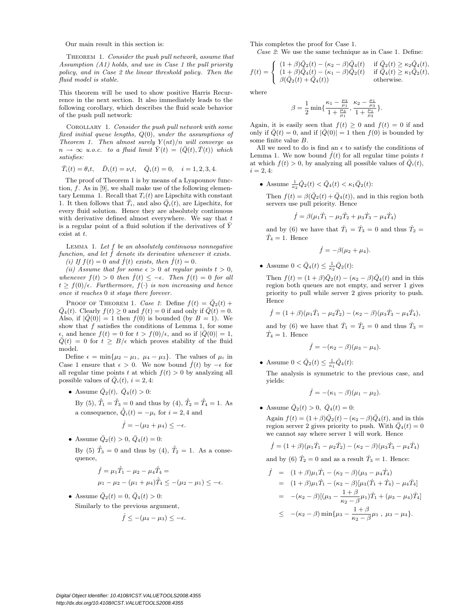Our main result in this section is:

THEOREM 1. Consider the push pull network, assume that Assumption (A1) holds, and use in Case 1 the pull priority policy, and in Case 2 the linear threshold policy. Then the fluid model is stable.

This theorem will be used to show positive Harris Recurrence in the next section. It also immediately leads to the following corollary, which describes the fluid scale behavior of the push pull network:

Corollary 1. Consider the push pull network with some fixed initial queue lengths, Q(0), under the assumptions of Theorem 1. Then almost surely  $Y(nt)/n$  will converge as  $n \to \infty$  u.o.c. to a fluid limit  $\overline{Y}(t) = (\overline{Q}(t), \overline{T}(t))$  which satisfies:

$$
\bar{T}_i(t) = \theta_i t, \quad \bar{D}_i(t) = \nu_i t, \quad \bar{Q}_i(t) = 0, \quad i = 1, 2, 3, 4.
$$

The proof of Theorem 1 is by means of a Lyapounov function, f. As in [9], we shall make use of the following elementary Lemma 1. Recall that  $T_i(t)$  are Lipschitz with constant 1. It then follows that  $\overline{T}_i$ , and also  $\overline{Q}_i(t)$ , are Lipschitz, for every fluid solution. Hence they are absolutely continuous with derivative defined almost everywhere. We say that  $t$ is a regular point of a fluid solution if the derivatives of  $\bar{Y}$ exist at t.

LEMMA 1. Let  $f$  be an absolutely continuous nonnegative function, and let  $\dot{f}$  denote its derivative whenever it exists. (i) If  $f(t) = 0$  and  $\dot{f}(t)$  exists, then  $\dot{f}(t) = 0$ .

(ii) Assume that for some  $\epsilon > 0$  at regular points  $t > 0$ , whenever  $f(t) > 0$  then  $\dot{f}(t) \leq -\epsilon$ . Then  $f(t) = 0$  for all  $t \geq f(0)/\epsilon$ . Furthermore,  $f(\cdot)$  is non increasing and hence once it reaches 0 it stays there forever.

PROOF OF THEOREM 1. Case 1: Define  $f(t) = Q_2(t) +$  $\overline{Q}_4(t)$ . Clearly  $f(t) \ge 0$  and  $f(t) = 0$  if and only if  $\overline{Q}(t) = 0$ . Also, if  $|\bar{Q}(0)| = 1$  then  $f(0)$  is bounded (by  $B = 1$ ). We show that  $f$  satisfies the conditions of Lemma 1, for some  $\epsilon$ , and hence  $f(t) = 0$  for  $t > f(0)/\epsilon$ , and so if  $|Q(0)| = 1$ ,  $\overline{Q}(t) = 0$  for  $t \geq B/\epsilon$  which proves stability of the fluid model.

Define  $\epsilon = \min\{\mu_2 - \mu_1, \mu_4 - \mu_3\}$ . The values of  $\mu_i$  in Case 1 ensure that  $\epsilon > 0$ . We now bound  $\dot{f}(t)$  by  $-\epsilon$  for all regular time points t at which  $f(t) > 0$  by analyzing all possible values of  $Q_i(t)$ ,  $i = 2, 4$ :

• Assume  $\bar{Q}_2(t)$ ,  $\bar{Q}_4(t) > 0$ :

By (5),  $\dot{T}_1 = \dot{T}_3 = 0$  and thus by (4),  $\dot{T}_2 = \dot{T}_4 = 1$ . As a consequence,  $\dot{\bar{Q}}_i(t) = -\mu_i$  for  $i = 2, 4$  and

$$
\dot{f} = -(\mu_2 + \mu_4) \leq -\epsilon.
$$

• Assume  $\bar{Q}_2(t) > 0$ ,  $\bar{Q}_4(t) = 0$ :

By (5)  $\dot{T}_3 = 0$  and thus by (4),  $\dot{T}_2 = 1$ . As a consequence,

$$
\dot{f} = \mu_1 \dot{T}_1 - \mu_2 - \mu_4 \dot{T}_4 =
$$
  

$$
\mu_1 - \mu_2 - (\mu_1 + \mu_4) \dot{T}_4 \leq -(\mu_2 - \mu_1) \leq -\epsilon.
$$

• Assume  $\bar{Q}_2(t) = 0, \bar{Q}_4(t) > 0$ : Similarly to the previous argument,

$$
\dot{f} \leq -(\mu_4 - \mu_3) \leq -\epsilon.
$$

This completes the proof for Case 1.

Case 2: We use the same technique as in Case 1. Define:

$$
f(t) = \begin{cases} (1+\beta)\bar{Q}_2(t) - (\kappa_2 - \beta)\bar{Q}_4(t) & \text{if } \bar{Q}_2(t) \ge \kappa_2\bar{Q}_4(t), \\ (1+\beta)\bar{Q}_4(t) - (\kappa_1 - \beta)\bar{Q}_2(t) & \text{if } \bar{Q}_4(t) \ge \kappa_1\bar{Q}_2(t), \\ \beta(\bar{Q}_2(t) + \bar{Q}_4(t)) & \text{otherwise.} \end{cases}
$$

where

$$
\beta = \frac{1}{2} \min \{ \frac{\kappa_1 - \frac{\mu_3}{\mu_1}}{1 + \frac{\mu_3}{\mu_1}}, \frac{\kappa_2 - \frac{\mu_1}{\mu_3}}{1 + \frac{\mu_1}{\mu_3}} \}.
$$

Again, it is easily seen that  $f(t) \geq 0$  and  $f(t) = 0$  if and only if  $\overline{Q}(t) = 0$ , and if  $|\overline{Q}(0)| = 1$  then  $f(0)$  is bounded by some finite value B.

All we need to do is find an  $\epsilon$  to satisfy the conditions of Lemma 1. We now bound  $\dot{f}(t)$  for all regular time points t at which  $f(t) > 0$ , by analyzing all possible values of  $\overline{Q}_i(t)$ ,  $i = 2, 4$ :

• Assume  $\frac{1}{\kappa_2} \bar{Q}_2(t) < \bar{Q}_4(t) < \kappa_1 \bar{Q}_2(t)$ :

Then  $f(t) = \beta(\bar{Q}_2(t) + \bar{Q}_4(t))$ , and in this region both servers use pull priority. Hence

$$
\dot{f} = \beta(\mu_1 \dot{T}_1 - \mu_2 \dot{T}_2 + \mu_3 \dot{T}_3 - \mu_4 \dot{T}_4)
$$

and by (6) we have that  $\dot{T}_1 = \dot{T}_3 = 0$  and thus  $\dot{T}_2 =$  $\dot{T}_4 = 1$ . Hence

$$
\dot{f}=-\beta(\mu_2+\mu_4).
$$

• Assume  $0 < \bar{Q}_4(t) \leq \frac{1}{\kappa_2} \bar{Q}_2(t)$ :

Then  $f(t) = (1 + \beta)\bar{Q}_2(t) - (\kappa_2 - \beta)\bar{Q}_4(t)$  and in this region both queues are not empty, and server 1 gives priority to pull while server 2 gives priority to push. Hence

$$
\dot{f} = (1+\beta)(\mu_1\dot{T}_1 - \mu_2\dot{T}_2) - (\kappa_2 - \beta)(\mu_3\dot{T}_3 - \mu_4\dot{T}_4),
$$

and by (6) we have that  $\dot{T}_1 = \dot{T}_2 = 0$  and thus  $\dot{T}_3 =$  $\dot{T}_4 = 1$ . Hence

$$
\dot{f}=-(\kappa_2-\beta)(\mu_3-\mu_4).
$$

• Assume  $0 < \bar{Q}_2(t) \leq \frac{1}{\kappa_1} \bar{Q}_4(t)$ :

The analysis is symmetric to the previous case, and yields:

$$
\dot{f}=-(\kappa_1-\beta)(\mu_1-\mu_2).
$$

• Assume  $\bar{Q}_2(t) > 0$ ,  $\bar{Q}_4(t) = 0$ :

Again  $f(t) = (1+\beta)\bar{Q}_2(t) - (\kappa_2 - \beta)\bar{Q}_4(t)$ , and in this region server 2 gives priority to push. With  $\overline{Q}_4(t) = 0$ we cannot say where server 1 will work. Hence

$$
\dot{f} = (1+\beta)(\mu_1\dot{T}_1 - \mu_2\dot{T}_2) - (\kappa_2 - \beta)(\mu_3\dot{T}_3 - \mu_4\dot{T}_4)
$$

and by (6)  $\dot{T}_2 = 0$  and as a result  $\dot{T}_3 = 1$ . Hence:

$$
\dot{f} = (1+\beta)\mu_1 \dot{T}_1 - (\kappa_2 - \beta)(\mu_3 - \mu_4 \dot{T}_4)
$$
  
\n
$$
= (1+\beta)\mu_1 \dot{T}_1 - (\kappa_2 - \beta)[\mu_3(\dot{T}_1 + \dot{T}_4) - \mu_4 \dot{T}_4]
$$
  
\n
$$
= -(\kappa_2 - \beta)[(\mu_3 - \frac{1+\beta}{\kappa_2 - \beta}\mu_1)\dot{T}_1 + (\mu_3 - \mu_4)\dot{T}_4]
$$
  
\n
$$
\leq -(\kappa_2 - \beta)\min{\mu_3 - \frac{1+\beta}{\kappa_2 - \beta}\mu_1, \mu_3 - \mu_4}.
$$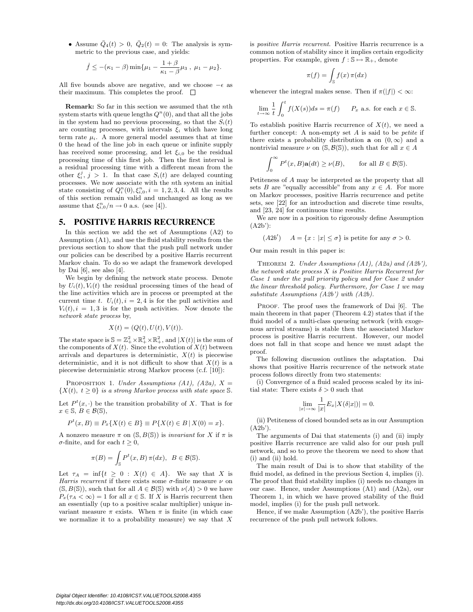• Assume  $\overline{Q}_4(t) > 0$ ,  $\overline{Q}_2(t) = 0$ : The analysis is symmetric to the previous case, and yields:

$$
\dot{f} \leq -(\kappa_1 - \beta) \min{\mu_1 - \frac{1+\beta}{\kappa_1 - \beta} \mu_3, \mu_1 - \mu_2}.
$$

All five bounds above are negative, and we choose  $-\epsilon$  as their maximum. This completes the proof.  $\square$ 

Remark: So far in this section we assumed that the nth system starts with queue lengths  $Q^n(0)$ , and that all the jobs in the system had no previous processing, so that the  $S_i(t)$ are counting processes, with intervals  $\xi_i$  which have long term rate  $\mu_i$ . A more general model assumes that at time 0 the head of the line job in each queue or infinite supply has received some processing, and let  $\xi_{i,0}$  be the residual processing time of this first job. Then the first interval is a residual processing time with a different mean from the other  $\xi_i^j$ ,  $j > 1$ . In that case  $S_i(t)$  are delayed counting processes. We now associate with the nth system an initial state consisting of  $Q_i^n(0), \xi_{i,0}^n, i = 1, 2, 3, 4$ . All the results of this section remain valid and unchanged as long as we assume that  $\xi_{i,0}^n/n \to 0$  a.s. (see [4]).

## 5. POSITIVE HARRIS RECURRENCE

In this section we add the set of Assumptions (A2) to Assumption (A1), and use the fluid stability results from the previous section to show that the push pull network under our policies can be described by a positive Harris recurrent Markov chain. To do so we adapt the framework developed by Dai  $[6]$ , see also  $[4]$ .

We begin by defining the network state process. Denote by  $U_i(t)$ ,  $V_i(t)$  the residual processing times of the head of the line activities which are in process or preempted at the current time t.  $U_i(t)$ ,  $i = 2, 4$  is for the pull activities and  $V_i(t)$ ,  $i = 1, 3$  is for the push activities. Now denote the network state process by,

$$
X(t) = (Q(t), U(t), V(t)).
$$

The state space is  $\mathbb{S} = \mathbb{Z}_+^2 \times \mathbb{R}_+^2 \times \mathbb{R}_+^2$ , and  $|X(t)|$  is the sum of the components of  $X(t)$ . Since the evolution of  $X(t)$  between arrivals and departures is deterministic,  $X(t)$  is piecewise deterministic, and it is not difficult to show that  $X(t)$  is a piecewise deterministic strong Markov process (c.f. [10]):

PROPOSITION 1. Under Assumptions (A1), (A2a),  $X =$  $\{X(t), t \geq 0\}$  is a strong Markov process with state space S.

Let  $P^t(x, \cdot)$  be the transition probability of X. That is for  $x \in \mathbb{S}, B \in \mathcal{B}(\mathbb{S}),$ 

$$
P^{t}(x, B) \equiv P_{x} \{ X(t) \in B \} \equiv P \{ X(t) \in B \mid X(0) = x \}.
$$

A nonzero measure  $\pi$  on  $(S, B(S))$  is *invariant* for X if  $\pi$  is  $\sigma$ -finite, and for each  $t \geq 0$ ,

$$
\pi(B) = \int_{\mathbb{S}} P^t(x, B) \, \pi(dx), \, B \in \mathcal{B}(\mathbb{S}).
$$

Let  $\tau_A = \inf\{t \geq 0 : X(t) \in A\}$ . We say that X is Harris recurrent if there exists some  $\sigma$ -finite measure  $\nu$  on  $(S, B(S))$ , such that for all  $A \in \mathcal{B}(S)$  with  $\nu(A) > 0$  we have  $P_x(\tau_A < \infty) = 1$  for all  $x \in \mathbb{S}$ . If X is Harris recurrent then an essentially (up to a positive scalar multiplier) unique invariant measure  $\pi$  exists. When  $\pi$  is finite (in which case we normalize it to a probability measure) we say that  $X$ 

is positive Harris recurrent. Positive Harris recurrence is a common notion of stability since it implies certain ergodicity properties. For example, given  $f : \mathbb{S} \mapsto \mathbb{R}_+$ , denote

$$
\pi(f) = \int_{\mathbb{S}} f(x) \,\pi(dx)
$$

whenever the integral makes sense. Then if  $\pi(|f|) < \infty$ :

$$
\lim_{t \to \infty} \frac{1}{t} \int_0^t f(X(s))ds = \pi(f) \qquad P_x \text{ a.s. for each } x \in \mathbb{S}.
$$

To establish positive Harris recurrence of  $X(t)$ , we need a further concept: A non-empty set  $A$  is said to be *petite* if there exists a probability distribution **a** on  $(0, \infty)$  and a nontrivial measure  $\nu$  on  $(\mathcal{S}, \mathcal{B}(\mathcal{S}))$ , such that for all  $x \in A$ 

$$
\int_0^\infty P^t(x, B) \mathbf{a}(dt) \ge \nu(B), \quad \text{for all } B \in \mathcal{B}(\mathbb{S}).
$$

Petiteness of A may be interpreted as the property that all sets B are "equally accessible" from any  $x \in A$ . For more on Markov processes, positive Harris recurrence and petite sets, see [22] for an introduction and discrete time results, and [23, 24] for continuous time results.

We are now in a position to rigorously define Assumption (A2b'):

 $(A2b^{\prime})$  $A = \{x : |x| \leq \sigma\}$  is petite for any  $\sigma > 0$ .

Our main result in this paper is:

THEOREM 2. Under Assumptions  $(A1)$ ,  $(A2a)$  and  $(A2b')$ , the network state process  $X$  is Positive Harris Recurrent for Case 1 under the pull priority policy and for Case 2 under the linear threshold policy. Furthermore, for Case 1 we may substitute Assumptions (A2b') with (A2b).

PROOF. The proof uses the framework of Dai [6]. The main theorem in that paper (Theorem 4.2) states that if the fluid model of a multi-class queueing network (with exogenous arrival streams) is stable then the associated Markov process is positive Harris recurrent. However, our model does not fall in that scope and hence we must adapt the proof.

The following discussion outlines the adaptation. Dai shows that positive Harris recurrence of the network state process follows directly from two statements:

(i) Convergence of a fluid scaled process scaled by its initial state: There exists  $\delta > 0$  such that

$$
\lim_{|x| \to \infty} \frac{1}{|x|} E_x |X(\delta |x|)| = 0.
$$

(ii) Petiteness of closed bounded sets as in our Assumption  $(A2b^{\prime}).$ 

The arguments of Dai that statements (i) and (ii) imply positive Harris recurrence are valid also for our push pull network, and so to prove the theorem we need to show that (i) and (ii) hold.

The main result of Dai is to show that stability of the fluid model, as defined in the previous Section 4, implies (i). The proof that fluid stability implies (i) needs no changes in our case. Hence, under Assumptions (A1) and (A2a), our Theorem 1, in which we have proved stability of the fluid model, implies (i) for the push pull network.

Hence, if we make Assumption (A2b'), the positive Harris recurrence of the push pull network follows.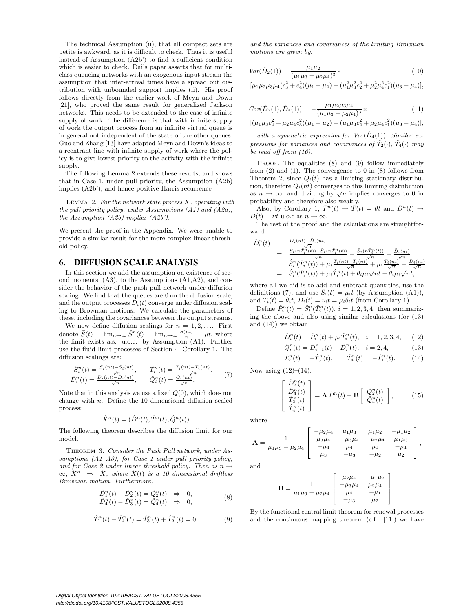The technical Assumption (ii), that all compact sets are petite is awkward, as it is difficult to check. Thus it is useful instead of Assumption (A2b') to find a sufficient condition which is easier to check. Dai's paper asserts that for multiclass queueing networks with an exogenous input stream the assumption that inter-arrival times have a spread out distribution with unbounded support implies (ii). His proof follows directly from the earlier work of Meyn and Down [21], who proved the same result for generalized Jackson networks. This needs to be extended to the case of infinite supply of work. The difference is that with infinite supply of work the output process from an infinite virtual queue is in general not independent of the state of the other queues. Guo and Zhang [13] have adapted Meyn and Down's ideas to a reentrant line with infinite supply of work where the policy is to give lowest priority to the activity with the infinite supply.

The following Lemma 2 extends these results, and shows that in Case 1, under pull priority, the Assumption (A2b) implies (A2b'), and hence positive Harris recurrence  $\Box$ 

LEMMA 2. For the network state process  $X$ , operating with the pull priority policy, under Assumptions (A1) and (A2a), the Assumption (A2b) implies (A2b').

We present the proof in the Appendix. We were unable to provide a similar result for the more complex linear threshold policy.

#### 6. DIFFUSION SCALE ANALYSIS

In this section we add the assumption on existence of second moments, (A3), to the Assumptions (A1,A2), and consider the behavior of the push pull network under diffusion scaling. We find that the queues are 0 on the diffusion scale, and the output processes  $D_i(t)$  converge under diffusion scaling to Brownian motions. We calculate the parameters of these, including the covariances between the output streams.

We now define diffusion scalings for  $n = 1, 2, \ldots$  First denote  $\bar{S}(t) = \lim_{n \to \infty} \bar{S}^n(t) = \lim_{n \to \infty} \frac{S(nt)}{n} = \mu t$ , where the limit exists a.s. u.o.c. by Assumption (A1). Further use the fluid limit processes of Section 4, Corollary 1. The diffusion scalings are:

$$
\hat{S}_i^n(t) = \frac{S_i(nt) - \bar{S}_i(nt)}{\sqrt{n}}, \qquad \hat{T}_i^n(t) = \frac{T_i(nt) - \bar{T}_i(nt)}{\sqrt{n}}, \qquad \hat{Q}_i^n(t) = \frac{Q_i(nt) - \bar{T}_i(nt)}{\sqrt{n}}, \qquad (7)
$$

Note that in this analysis we use a fixed  $Q(0)$ , which does not change with  $n$ . Define the 10 dimensional diffusion scaled process:

$$
\hat{X}^n(t) = (\hat{D}^n(t), \hat{T}^n(t), \hat{Q}^n(t))
$$

The following theorem describes the diffusion limit for our model.

THEOREM 3. Consider the Push Pull network, under Assumptions (A1–A3), for Case 1 under pull priority policy, and for Case 2 under linear threshold policy. Then as  $n \rightarrow$  $\infty$ ,  $\hat{X}^n \Rightarrow \hat{X}$ , where  $\hat{X}(t)$  is a 10 dimensional driftless Brownian motion. Furthermore,

$$
\hat{D}_1^n(t) - \hat{D}_2^n(t) = \hat{Q}_2^n(t) \Rightarrow 0, \n\hat{D}_4^n(t) - \hat{D}_3^n(t) = \hat{Q}_4^n(t) \Rightarrow 0,
$$
\n(8)

$$
\hat{T}_1^n(t) + \hat{T}_4^n(t) = \hat{T}_3^n(t) + \hat{T}_2^n(t) = 0,\tag{9}
$$

and the variances and covariances of the limiting Brownian motions are given by:

$$
Var(\hat{D}_2(1)) = \frac{\mu_1 \mu_2}{(\mu_1 \mu_3 - \mu_2 \mu_4)^3} \times
$$
\n(10)

 $[\mu_1 \mu_2 \mu_3 \mu_4 (c_3^2 + c_4^2)(\mu_1 - \mu_2) + (\mu_1^2 \mu_3^2 c_2^2 + \mu_2^2 \mu_4^2 c_1^2)(\mu_3 - \mu_4)],$ 

$$
Cov(\hat{D}_2(1), \hat{D}_4(1)) = -\frac{\mu_1 \mu_2 \mu_3 \mu_4}{(\mu_1 \mu_3 - \mu_2 \mu_4)^3} \times \tag{11}
$$

$$
[(\mu_1\mu_3c_4^2+\mu_2\mu_4c_3^2)(\mu_1-\mu_2)+(\mu_1\mu_3c_2^2+\mu_2\mu_4c_1^2)(\mu_3-\mu_4)],
$$

with a symmetric expression for  $Var(\hat{D}_4(1))$ . Similar expressions for variances and covariances of  $\hat{T}_2(\cdot), \hat{T}_4(\cdot)$  may be read off from (16).

PROOF. The equalities (8) and (9) follow immediately from  $(2)$  and  $(1)$ . The convergence to 0 in  $(8)$  follows from Theorem 2, since  $Q_i(t)$  has a limiting stationary distribution, therefore  $Q_i(nt)$  converges to this limiting distribution as  $n \to \infty$ , and dividing by  $\sqrt{n}$  implies converges to 0 in probability and therefore also weakly.

Also, by Corollary 1,  $\overline{T}^n(t) \rightarrow \overline{T}(t) = \theta t$  and  $\overline{D}^n(t) \rightarrow$  $\bar{D}(t) = \nu t$  u.o.c as  $n \to \infty$ .

The rest of the proof and the calculations are straightforward:

$$
\hat{D}_{i}^{n}(t) = \frac{D_{i}(nt) - D_{i}(nt)}{\sqrt{n}} \n= \frac{S_{i}(n\bar{T}_{i}^{n}(t)) - \bar{S}_{i}(n\bar{T}_{i}^{n}(t))}{\sqrt{n}} + \frac{\bar{S}_{i}(n\bar{T}_{i}^{n}(t))}{\sqrt{n}} - \frac{D_{i}(nt)}{\sqrt{n}} \n= \hat{S}_{i}^{n}(\bar{T}_{i}^{n}(t)) + \mu_{i}\frac{T_{i}(nt) - \bar{T}_{i}(nt)}{\sqrt{n}} + \mu_{i}\frac{\bar{T}_{i}(nt)}{\sqrt{n}} - \frac{\bar{D}_{i}(nt)}{\sqrt{n}} \n= \hat{S}_{i}^{n}(\bar{T}_{i}^{n}(t)) + \mu_{i}\hat{T}_{i}^{n}(t) + \theta_{i}\mu_{i}\sqrt{nt} - \theta_{i}\mu_{i}\sqrt{nt},
$$

where all we did is to add and subtract quantities, use the definitions (7), and use  $\bar{S}_i(t) = \mu_i t$  (by Assumption (A1)), and  $\bar{T}_i(t) = \theta_i t$ ,  $\bar{D}_i(t) = \nu_i t = \mu_i \theta_i t$  (from Corollary 1).

Define  $\hat{P}_i^n(t) = \hat{S}_i^n(\bar{T}_i^n(t)), i = 1, 2, 3, 4$ , then summarizing the above and also using similar calculations (for (13) and (14)) we obtain:

$$
\hat{D}_i^n(t) = \hat{P}_i^n(t) + \mu_i \hat{T}_i^n(t), \quad i = 1, 2, 3, 4, \qquad (12)
$$

$$
\hat{Q}_i^n(t) = \hat{D}_{i-1}^n(t) - \hat{D}_i^n(t), \quad i = 2, 4,
$$
\n(13)

$$
\hat{T}_2^n(t) = -\hat{T}_3^n(t), \qquad \hat{T}_4^n(t) = -\hat{T}_1^n(t). \tag{14}
$$

Now using  $(12)–(14)$ :

$$
\begin{bmatrix}\n\hat{D}_2^n(t) \\
\hat{D}_4^n(t) \\
\hat{T}_2^n(t) \\
\hat{T}_4^n(t)\n\end{bmatrix} = \mathbf{A}\hat{P}^n(t) + \mathbf{B}\begin{bmatrix}\n\hat{Q}_2^n(t) \\
\hat{Q}_4^n(t)\n\end{bmatrix},
$$
\n(15)

where

$$
\mathbf{A} = \frac{1}{\mu_1 \mu_3 - \mu_2 \mu_4} \begin{bmatrix} -\mu_2 \mu_4 & \mu_1 \mu_3 & \mu_1 \mu_2 & -\mu_1 \mu_2 \\ \mu_3 \mu_4 & -\mu_3 \mu_4 & -\mu_2 \mu_4 & \mu_1 \mu_3 \\ -\mu_4 & \mu_4 & \mu_1 & -\mu_1 \\ \mu_3 & -\mu_3 & -\mu_2 & \mu_2 \end{bmatrix},
$$

and

$$
\mathbf{B} = \frac{1}{\mu_1 \mu_3 - \mu_2 \mu_4} \begin{bmatrix} \mu_2 \mu_4 & -\mu_1 \mu_2 \\ -\mu_3 \mu_4 & \mu_2 \mu_4 \\ \mu_4 & -\mu_1 \\ -\mu_3 & \mu_2 \end{bmatrix}.
$$

By the functional central limit theorem for renewal processes and the continuous mapping theorem (c.f. [11]) we have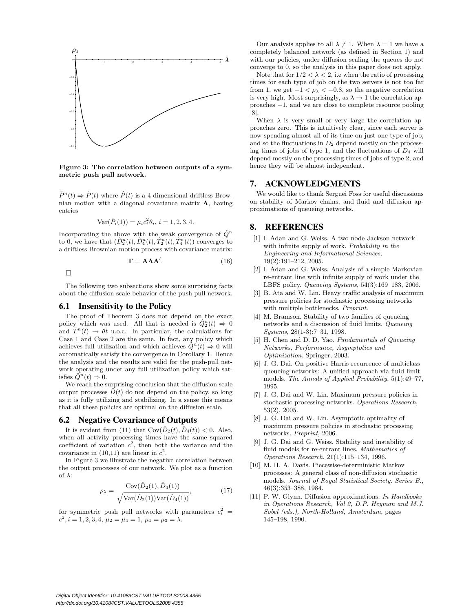

Figure 3: The correlation between outputs of a symmetric push pull network.

 $\hat{P}^n(t) \Rightarrow \hat{P}(t)$  where  $\hat{P}(t)$  is a 4 dimensional driftless Brownian motion with a diagonal covariance matrix  $\Lambda$ , having entries

$$
Var(\hat{P}_i(1)) = \mu_i c_i^2 \theta_i, \, i = 1, 2, 3, 4.
$$

Incorporating the above with the weak convergence of  $\hat{Q}^n$ to 0, we have that  $(\hat{D}_2^n(t), \hat{D}_4^n(t), \hat{T}_2^n(t), \hat{T}_4^n(t))$  converges to a driftless Brownian motion process with covariance matrix:

$$
\Gamma = A \Lambda A'. \tag{16}
$$

 $\Box$ 

The following two subsections show some surprising facts about the diffusion scale behavior of the push pull network.

## 6.1 Insensitivity to the Policy

The proof of Theorem 3 does not depend on the exact policy which was used. All that is needed is  $\hat{Q}_2^n(t) \Rightarrow 0$ and  $\overline{T}^n(t) \rightarrow \theta t$  u.o.c. In particular, the calculations for Case 1 and Case 2 are the same. In fact, any policy which achieves full utilization and which achieves  $\hat{Q}^n(t) \Rightarrow 0$  will automatically satisfy the convergence in Corollary 1. Hence the analysis and the results are valid for the push-pull network operating under any full utilization policy which satisfies  $\hat{Q}^n(t) \Rightarrow 0$ .

We reach the surprising conclusion that the diffusion scale output processes  $\hat{D}(t)$  do not depend on the policy, so long as it is fully utilizing and stabilizing. In a sense this means that all these policies are optimal on the diffusion scale.

#### 6.2 Negative Covariance of Outputs

It is evident from (11) that  $Cov(\hat{D}_2(t), \hat{D}_4(t)) < 0$ . Also, when all activity processing times have the same squared coefficient of variation  $c^2$ , then both the variance and the covariance in  $(10,11)$  are linear in  $c^2$ .

In Figure 3 we illustrate the negative correlation between the output processes of our network. We plot as a function of  $\lambda$ :

$$
\rho_{\lambda} = \frac{\text{Cov}(\hat{D}_2(1), \hat{D}_4(1))}{\sqrt{\text{Var}(\hat{D}_2(1))\text{Var}(\hat{D}_4(1))}},
$$
(17)

for symmetric push pull networks with parameters  $c_i^2$  =  $c^2$ ,  $i = 1, 2, 3, 4, \mu_2 = \mu_4 = 1, \mu_1 = \mu_3 = \lambda.$ 

Our analysis applies to all  $\lambda \neq 1$ . When  $\lambda = 1$  we have a completely balanced network (as defined in Section 1) and with our policies, under diffusion scaling the queues do not converge to 0, so the analysis in this paper does not apply.

Note that for  $1/2 < \lambda < 2$ , i.e when the ratio of processing times for each type of job on the two servers is not too far from 1, we get  $-1 < \rho_{\lambda} < -0.8$ , so the negative correlation is very high. Most surprisingly, as  $\lambda \to 1$  the correlation approaches −1, and we are close to complete resource pooling [8].

When  $\lambda$  is very small or very large the correlation approaches zero. This is intuitively clear, since each server is now spending almost all of its time on just one type of job, and so the fluctuations in  $D_2$  depend mostly on the processing times of jobs of type 1, and the fluctuations of  $D_4$  will depend mostly on the processing times of jobs of type 2, and hence they will be almost independent.

### 7. ACKNOWLEDGMENTS

We would like to thank Serguei Foss for useful discussions on stability of Markov chains, and fluid and diffusion approximations of queueing networks.

### 8. REFERENCES

- [1] I. Adan and G. Weiss. A two node Jackson network with infinite supply of work. Probability in the Engineering and Informational Sciences, 19(2):191–212, 2005.
- [2] I. Adan and G. Weiss. Analysis of a simple Markovian re-entrant line with infinite supply of work under the LBFS policy. Queueing Systems, 54(3):169–183, 2006.
- [3] B. Ata and W. Lin. Heavy traffic analysis of maximum pressure policies for stochastic processing networks with multiple bottlenecks. Preprint.
- [4] M. Bramson. Stability of two families of queueing networks and a discussion of fluid limits. Queueing Systems, 28(1-3):7–31, 1998.
- [5] H. Chen and D. D. Yao. Fundamentals of Queueing Networks, Performance, Asymptotics and Optimization. Springer, 2003.
- [6] J. G. Dai. On positive Harris recurrence of multiclass queueing networks: A unified approach via fluid limit models. The Annals of Applied Probability, 5(1):49–77, 1995.
- [7] J. G. Dai and W. Lin. Maximum pressure policies in stochastic processing networks. Operations Research, 53(2), 2005.
- [8] J. G. Dai and W. Lin. Asymptotic optimality of maximum pressure policies in stochastic processing networks. Preprint, 2006.
- [9] J. G. Dai and G. Weiss. Stability and instability of fluid models for re-entrant lines. Mathematics of Operations Research, 21(1):115–134, 1996.
- [10] M. H. A. Davis. Piecewise-deterministic Markov processes: A general class of non-diffusion stochastic models. Journal of Royal Statistical Society. Series B., 46(3):353–388, 1984.
- [11] P. W. Glynn. Diffusion approximations. In Handbooks in Operations Research, Vol 2, D.P. Heyman and M.J. Sobel (eds.), North-Holland, Amsterdam, pages 145–198, 1990.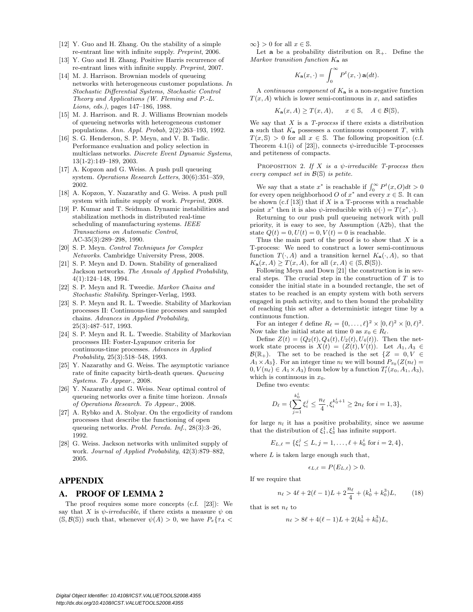- [12] Y. Guo and H. Zhang. On the stability of a simple re-entrant line with infinite supply. Preprint, 2006.
- [13] Y. Guo and H. Zhang. Positive Harris recurrence of re-entrant lines with infinite supply. Preprint, 2007.
- [14] M. J. Harrison. Brownian models of queueing networks with heterogeneous customer populations. In Stochastic Differential Systems, Stochastic Control Theory and Applications (W. Fleming and P.-L. Lions, eds.), pages 147–186, 1988.
- [15] M. J. Harrison. and R. J. Williams Brownian models of queueing networks with heterogeneous customer populations. Ann. Appl. Probab, 2(2):263–193, 1992.
- [16] S. G. Henderson, S. P. Meyn, and V. B. Tadic. Performance evaluation and policy selection in multiclass networks. Discrete Event Dynamic Systems, 13(1-2):149–189, 2003.
- [17] A. Kopzon and G. Weiss. A push pull queueing system. Operations Research Letters, 30(6):351–359, 2002.
- [18] A. Kopzon, Y. Nazarathy and G. Weiss. A push pull system with infinite supply of work. Preprint, 2008.
- [19] P. Kumar and T. Seidman. Dynamic instabilities and stabilization methods in distributed real-time scheduling of manufacturing systems. IEEE Transactions on Automatic Control, AC-35(3):289–298, 1990.
- [20] S. P. Meyn. Control Techniques for Complex Networks. Cambridge University Press, 2008.
- [21] S. P. Meyn and D. Down. Stability of generalized Jackson networks. The Annals of Applied Probability, 4(1):124–148, 1994.
- [22] S. P. Meyn and R. Tweedie. Markov Chains and Stochastic Stability. Springer-Verlag, 1993.
- [23] S. P. Meyn and R. L. Tweedie. Stability of Markovian processes II: Continuous-time processes and sampled chains. Advances in Applied Probability, 25(3):487–517, 1993.
- [24] S. P. Meyn and R. L. Tweedie. Stability of Markovian processes III: Foster-Lyapunov criteria for continuous-time processes. Advances in Applied Probability, 25(3):518–548, 1993.
- [25] Y. Nazarathy and G. Weiss. The asymptotic variance rate of finite capacity birth-death queues. Queueing Systems. To Appear., 2008.
- [26] Y. Nazarathy and G. Weiss. Near optimal control of queueing networks over a finite time horizon. Annals of Operations Research. To Appear., 2008.
- [27] A. Rybko and A. Stolyar. On the ergodicity of random processes that describe the functioning of open queueing networks. Probl. Pereda. Inf., 28(3):3–26, 1992.
- [28] G. Weiss. Jackson networks with unlimited supply of work. Journal of Applied Probability, 42(3):879–882, 2005.

# APPENDIX

# A. PROOF OF LEMMA 2

The proof requires some more concepts (c.f. [23]): We say that X is  $\psi$ -irreducible, if there exists a measure  $\psi$  on  $(S, \mathcal{B}(S))$  such that, whenever  $\psi(A) > 0$ , we have  $P_{x} \{ \tau_A <$ 

 $\infty$ } > 0 for all  $x \in \mathbb{S}$ .

Let **a** be a probability distribution on  $\mathbb{R}_+$ . Define the Markov transition function  $K_{\mathbf{a}}$  as

$$
K_{\mathbf{a}}(x,\cdot)=\int_0^\infty P^t(x,\cdot)\,\mathbf{a}(dt).
$$

A *continuous component* of  $K_a$  is a non-negative function  $T(x, A)$  which is lower semi-continuous in x, and satisfies

$$
K_{\mathbf{a}}(x, A) \geq T(x, A), \qquad x \in \mathbb{S}, \quad A \in \mathcal{B}(\mathbb{S}),
$$

We say that  $X$  is a  $T$ -process if there exists a distribution **a** such that  $K_a$  possesses a continuous component  $T$ , with  $T(x, \mathbb{S}) > 0$  for all  $x \in \mathbb{S}$ . The following proposition (c.f. Theorem 4.1(i) of [23]), connects  $\psi$ -irreducible T-processes and petiteness of compacts.

PROPOSITION 2. If X is a  $\psi$ -irreducible T-process then every compact set in  $\mathcal{B}(\mathbb{S})$  is petite.

We say that a state  $x^*$  is reachable if  $\int_0^\infty P^t(x, 0) dt > 0$ for every open neighborhood O of  $x^*$  and every  $x \in \mathbb{S}$ . It can be shown (c.f [13]) that if X is a T-process with a reachable point  $x^*$  then it is also  $\psi$ -irreducible with  $\psi(\cdot) = T(x^*, \cdot)$ .

Returning to our push pull queueing network with pull priority, it is easy to see, by Assumption (A2b), that the state  $Q(t) = 0, U(t) = 0, V(t) = 0$  is reachable.

Thus the main part of the proof is to show that  $X$  is a T-process: We need to construct a lower semi-continuous function  $T(\cdot, A)$  and a transition kernel  $K_{\mathbf{a}}(\cdot, A)$ , so that  $K_{\mathbf{a}}(x, A) \geq T(x, A)$ , for all  $(x, A) \in (\mathbb{S}, \mathcal{B}(\mathbb{S}))$ .

Following Meyn and Down [21] the construction is in several steps. The crucial step in the construction of  $T$  is to consider the initial state in a bounded rectangle, the set of states to be reached is an empty system with both servers engaged in push activity, and to then bound the probability of reaching this set after a deterministic integer time by a continuous function.

For an integer  $\ell$  define  $R_{\ell} = \{0, \ldots, \ell\}^2 \times [0, \ell)^2 \times [0, \ell)^2$ . Now take the initial state at time 0 as  $x_0 \in R_\ell$ .

Define  $Z(t) = (Q_2(t), Q_4(t), U_2(t), U_4(t))$ . Then the network state process is  $X(t) = (Z(t), V(t))$ . Let  $A_1, A_3 \in$  $\mathcal{B}(\mathbb{R}_+)$ . The set to be reached is the set  $\{Z = 0, V \in$  $A_1 \times A_3$ . For an integer time  $n_l$  we will bound  $P_{x_0}(Z(n_\ell))$  $0, V(n_{\ell}) \in A_1 \times A_3$  from below by a function  $T_l'(x_0, A_1, A_3)$ , which is continuous in  $x_0$ .

Define two events:

$$
D_{\ell} = \{ \sum_{j=1}^{k_0^i} \xi_i^j \le \frac{n_{\ell}}{4}, \xi_i^{k_0^i + 1} \ge 2n_{\ell} \text{ for } i = 1, 3 \},\
$$

for large  $n_l$  it has a positive probability, since we assume that the distribution of  $\xi_1^1, \xi_3^1$  has infinite support.

$$
E_{L,\ell} = \{\xi_i^j \le L, j = 1, \ldots, \ell + k_0^i \text{ for } i = 2, 4\},\
$$

where  $L$  is taken large enough such that,

$$
\epsilon_{L,\ell} = P(E_{L,\ell}) > 0.
$$

If we require that

$$
n_{\ell} > 4\ell + 2(\ell - 1)L + 2\frac{n_{\ell}}{4} + (k_0^1 + k_0^3)L, \tag{18}
$$

that is set  $n_\ell$  to

$$
n_{\ell} > 8\ell + 4(\ell - 1)L + 2(k_0^1 + k_0^3)L,
$$